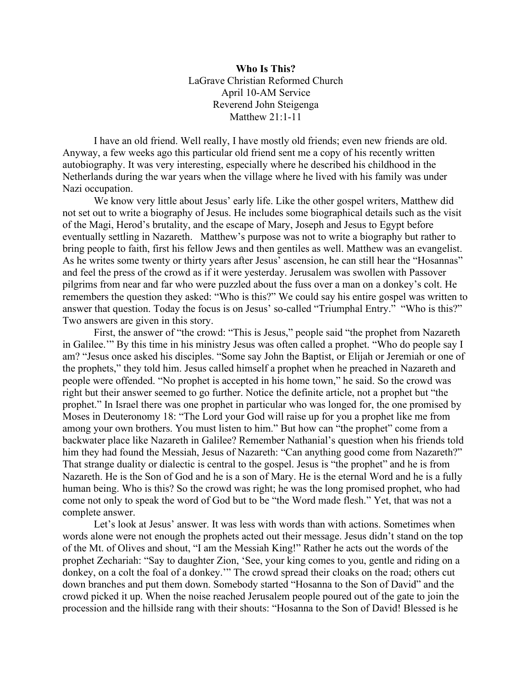**Who Is This?** LaGrave Christian Reformed Church April 10-AM Service Reverend John Steigenga Matthew 21:1-11

I have an old friend. Well really, I have mostly old friends; even new friends are old. Anyway, a few weeks ago this particular old friend sent me a copy of his recently written autobiography. It was very interesting, especially where he described his childhood in the Netherlands during the war years when the village where he lived with his family was under Nazi occupation.

We know very little about Jesus' early life. Like the other gospel writers, Matthew did not set out to write a biography of Jesus. He includes some biographical details such as the visit of the Magi, Herod's brutality, and the escape of Mary, Joseph and Jesus to Egypt before eventually settling in Nazareth. Matthew's purpose was not to write a biography but rather to bring people to faith, first his fellow Jews and then gentiles as well. Matthew was an evangelist. As he writes some twenty or thirty years after Jesus' ascension, he can still hear the "Hosannas" and feel the press of the crowd as if it were yesterday. Jerusalem was swollen with Passover pilgrims from near and far who were puzzled about the fuss over a man on a donkey's colt. He remembers the question they asked: "Who is this?" We could say his entire gospel was written to answer that question. Today the focus is on Jesus' so-called "Triumphal Entry." "Who is this?" Two answers are given in this story.

First, the answer of "the crowd: "This is Jesus," people said "the prophet from Nazareth in Galilee.'" By this time in his ministry Jesus was often called a prophet. "Who do people say I am? "Jesus once asked his disciples. "Some say John the Baptist, or Elijah or Jeremiah or one of the prophets," they told him. Jesus called himself a prophet when he preached in Nazareth and people were offended. "No prophet is accepted in his home town," he said. So the crowd was right but their answer seemed to go further. Notice the definite article, not a prophet but "the prophet." In Israel there was one prophet in particular who was longed for, the one promised by Moses in Deuteronomy 18: "The Lord your God will raise up for you a prophet like me from among your own brothers. You must listen to him." But how can "the prophet" come from a backwater place like Nazareth in Galilee? Remember Nathanial's question when his friends told him they had found the Messiah, Jesus of Nazareth: "Can anything good come from Nazareth?" That strange duality or dialectic is central to the gospel. Jesus is "the prophet" and he is from Nazareth. He is the Son of God and he is a son of Mary. He is the eternal Word and he is a fully human being. Who is this? So the crowd was right; he was the long promised prophet, who had come not only to speak the word of God but to be "the Word made flesh." Yet, that was not a complete answer.

Let's look at Jesus' answer. It was less with words than with actions. Sometimes when words alone were not enough the prophets acted out their message. Jesus didn't stand on the top of the Mt. of Olives and shout, "I am the Messiah King!" Rather he acts out the words of the prophet Zechariah: "Say to daughter Zion, 'See, your king comes to you, gentle and riding on a donkey, on a colt the foal of a donkey.'" The crowd spread their cloaks on the road; others cut down branches and put them down. Somebody started "Hosanna to the Son of David" and the crowd picked it up. When the noise reached Jerusalem people poured out of the gate to join the procession and the hillside rang with their shouts: "Hosanna to the Son of David! Blessed is he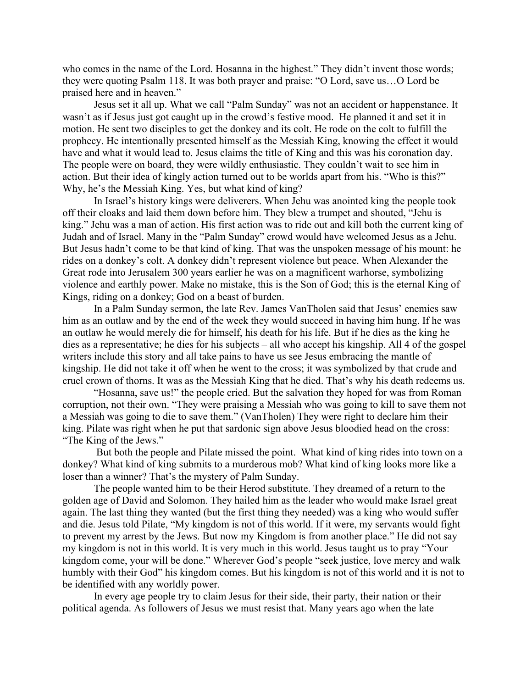who comes in the name of the Lord. Hosanna in the highest." They didn't invent those words; they were quoting Psalm 118. It was both prayer and praise: "O Lord, save us…O Lord be praised here and in heaven."

Jesus set it all up. What we call "Palm Sunday" was not an accident or happenstance. It wasn't as if Jesus just got caught up in the crowd's festive mood. He planned it and set it in motion. He sent two disciples to get the donkey and its colt. He rode on the colt to fulfill the prophecy. He intentionally presented himself as the Messiah King, knowing the effect it would have and what it would lead to. Jesus claims the title of King and this was his coronation day. The people were on board, they were wildly enthusiastic. They couldn't wait to see him in action. But their idea of kingly action turned out to be worlds apart from his. "Who is this?" Why, he's the Messiah King. Yes, but what kind of king?

In Israel's history kings were deliverers. When Jehu was anointed king the people took off their cloaks and laid them down before him. They blew a trumpet and shouted, "Jehu is king." Jehu was a man of action. His first action was to ride out and kill both the current king of Judah and of Israel. Many in the "Palm Sunday" crowd would have welcomed Jesus as a Jehu. But Jesus hadn't come to be that kind of king. That was the unspoken message of his mount: he rides on a donkey's colt. A donkey didn't represent violence but peace. When Alexander the Great rode into Jerusalem 300 years earlier he was on a magnificent warhorse, symbolizing violence and earthly power. Make no mistake, this is the Son of God; this is the eternal King of Kings, riding on a donkey; God on a beast of burden.

In a Palm Sunday sermon, the late Rev. James VanTholen said that Jesus' enemies saw him as an outlaw and by the end of the week they would succeed in having him hung. If he was an outlaw he would merely die for himself, his death for his life. But if he dies as the king he dies as a representative; he dies for his subjects – all who accept his kingship. All 4 of the gospel writers include this story and all take pains to have us see Jesus embracing the mantle of kingship. He did not take it off when he went to the cross; it was symbolized by that crude and cruel crown of thorns. It was as the Messiah King that he died. That's why his death redeems us.

"Hosanna, save us!" the people cried. But the salvation they hoped for was from Roman corruption, not their own. "They were praising a Messiah who was going to kill to save them not a Messiah was going to die to save them." (VanTholen) They were right to declare him their king. Pilate was right when he put that sardonic sign above Jesus bloodied head on the cross: "The King of the Jews."

But both the people and Pilate missed the point. What kind of king rides into town on a donkey? What kind of king submits to a murderous mob? What kind of king looks more like a loser than a winner? That's the mystery of Palm Sunday.

The people wanted him to be their Herod substitute. They dreamed of a return to the golden age of David and Solomon. They hailed him as the leader who would make Israel great again. The last thing they wanted (but the first thing they needed) was a king who would suffer and die. Jesus told Pilate, "My kingdom is not of this world. If it were, my servants would fight to prevent my arrest by the Jews. But now my Kingdom is from another place." He did not say my kingdom is not in this world. It is very much in this world. Jesus taught us to pray "Your kingdom come, your will be done." Wherever God's people "seek justice, love mercy and walk humbly with their God" his kingdom comes. But his kingdom is not of this world and it is not to be identified with any worldly power.

In every age people try to claim Jesus for their side, their party, their nation or their political agenda. As followers of Jesus we must resist that. Many years ago when the late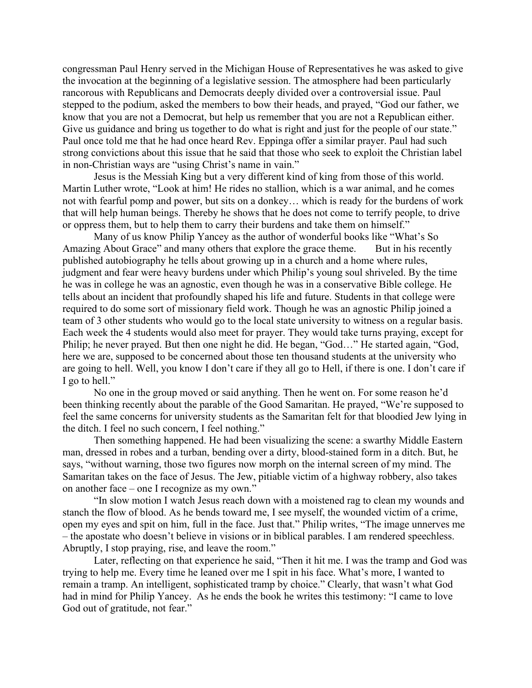congressman Paul Henry served in the Michigan House of Representatives he was asked to give the invocation at the beginning of a legislative session. The atmosphere had been particularly rancorous with Republicans and Democrats deeply divided over a controversial issue. Paul stepped to the podium, asked the members to bow their heads, and prayed, "God our father, we know that you are not a Democrat, but help us remember that you are not a Republican either. Give us guidance and bring us together to do what is right and just for the people of our state." Paul once told me that he had once heard Rev. Eppinga offer a similar prayer. Paul had such strong convictions about this issue that he said that those who seek to exploit the Christian label in non-Christian ways are "using Christ's name in vain."

Jesus is the Messiah King but a very different kind of king from those of this world. Martin Luther wrote, "Look at him! He rides no stallion, which is a war animal, and he comes not with fearful pomp and power, but sits on a donkey… which is ready for the burdens of work that will help human beings. Thereby he shows that he does not come to terrify people, to drive or oppress them, but to help them to carry their burdens and take them on himself."

Many of us know Philip Yancey as the author of wonderful books like "What's So Amazing About Grace" and many others that explore the grace theme. But in his recently published autobiography he tells about growing up in a church and a home where rules, judgment and fear were heavy burdens under which Philip's young soul shriveled. By the time he was in college he was an agnostic, even though he was in a conservative Bible college. He tells about an incident that profoundly shaped his life and future. Students in that college were required to do some sort of missionary field work. Though he was an agnostic Philip joined a team of 3 other students who would go to the local state university to witness on a regular basis. Each week the 4 students would also meet for prayer. They would take turns praying, except for Philip; he never prayed. But then one night he did. He began, "God…" He started again, "God, here we are, supposed to be concerned about those ten thousand students at the university who are going to hell. Well, you know I don't care if they all go to Hell, if there is one. I don't care if I go to hell."

No one in the group moved or said anything. Then he went on. For some reason he'd been thinking recently about the parable of the Good Samaritan. He prayed, "We're supposed to feel the same concerns for university students as the Samaritan felt for that bloodied Jew lying in the ditch. I feel no such concern, I feel nothing."

Then something happened. He had been visualizing the scene: a swarthy Middle Eastern man, dressed in robes and a turban, bending over a dirty, blood-stained form in a ditch. But, he says, "without warning, those two figures now morph on the internal screen of my mind. The Samaritan takes on the face of Jesus. The Jew, pitiable victim of a highway robbery, also takes on another face – one I recognize as my own."

"In slow motion I watch Jesus reach down with a moistened rag to clean my wounds and stanch the flow of blood. As he bends toward me, I see myself, the wounded victim of a crime, open my eyes and spit on him, full in the face. Just that." Philip writes, "The image unnerves me – the apostate who doesn't believe in visions or in biblical parables. I am rendered speechless. Abruptly, I stop praying, rise, and leave the room."

Later, reflecting on that experience he said, "Then it hit me. I was the tramp and God was trying to help me. Every time he leaned over me I spit in his face. What's more, I wanted to remain a tramp. An intelligent, sophisticated tramp by choice." Clearly, that wasn't what God had in mind for Philip Yancey. As he ends the book he writes this testimony: "I came to love God out of gratitude, not fear."